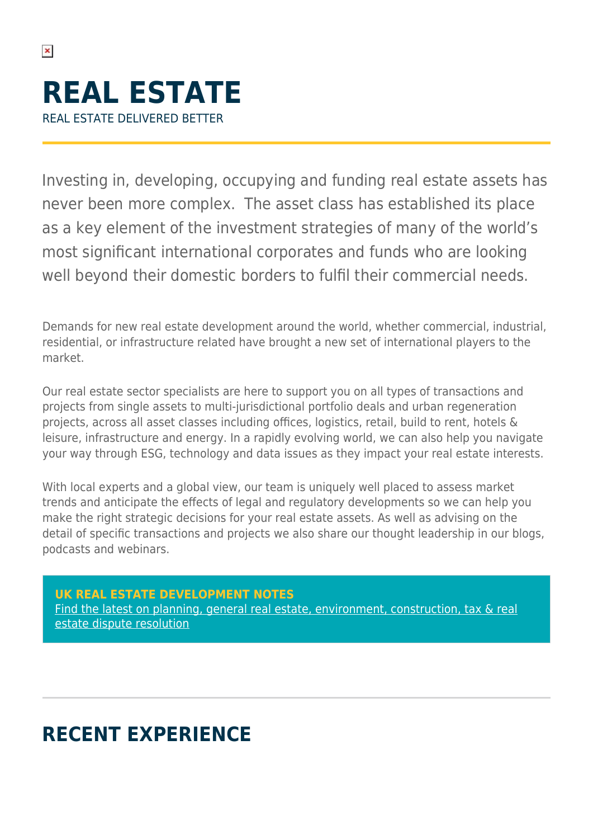$\pmb{\times}$ 

Investing in, developing, occupying and funding real estate assets has never been more complex. The asset class has established its place as a key element of the investment strategies of many of the world's most significant international corporates and funds who are looking well beyond their domestic borders to fulfil their commercial needs.

Demands for new real estate development around the world, whether commercial, industrial, residential, or infrastructure related have brought a new set of international players to the market.

Our real estate sector specialists are here to support you on all types of transactions and projects from single assets to multi-jurisdictional portfolio deals and urban regeneration projects, across all asset classes including offices, logistics, retail, build to rent, hotels & leisure, infrastructure and energy. In a rapidly evolving world, we can also help you navigate your way through ESG, technology and data issues as they impact your real estate interests.

With local experts and a global view, our team is uniquely well placed to assess market trends and anticipate the effects of legal and regulatory developments so we can help you make the right strategic decisions for your real estate assets. As well as advising on the detail of specific transactions and projects we also share our thought leadership in our blogs, podcasts and webinars.

### **[UK REAL ESTATE DEVELOPMENT NOTES](https://hsfnotes.com/realestatedevelopment/)**

[Find the latest on planning, general real estate, environment, construction, tax & real](https://hsfnotes.com/realestatedevelopment/) [estate dispute resolution](https://hsfnotes.com/realestatedevelopment/)

# **RECENT EXPERIENCE**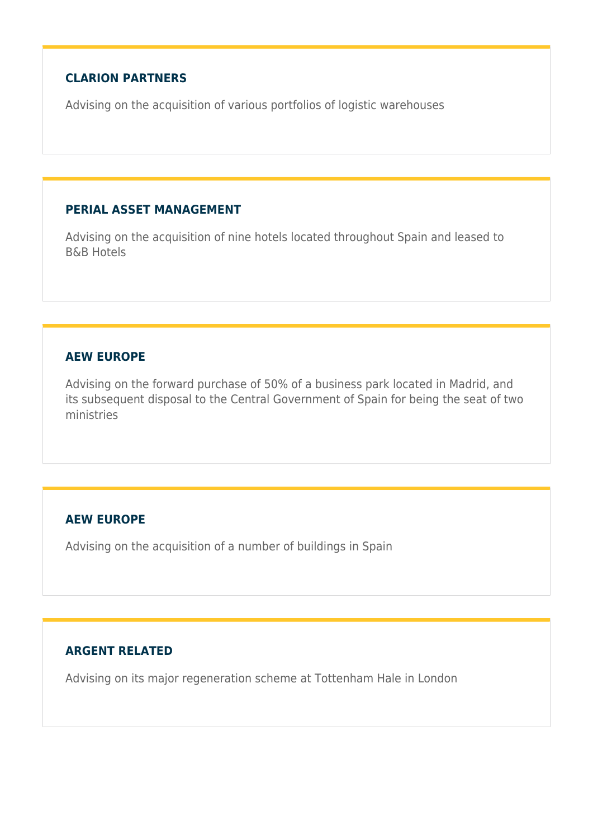#### **CLARION PARTNERS**

Advising on the acquisition of various portfolios of logistic warehouses

#### **PERIAL ASSET MANAGEMENT**

Advising on the acquisition of nine hotels located throughout Spain and leased to B&B Hotels

### **AEW EUROPE**

Advising on the forward purchase of 50% of a business park located in Madrid, and its subsequent disposal to the Central Government of Spain for being the seat of two ministries

### **AEW EUROPE**

Advising on the acquisition of a number of buildings in Spain

## **ARGENT RELATED**

Advising on its major regeneration scheme at Tottenham Hale in London